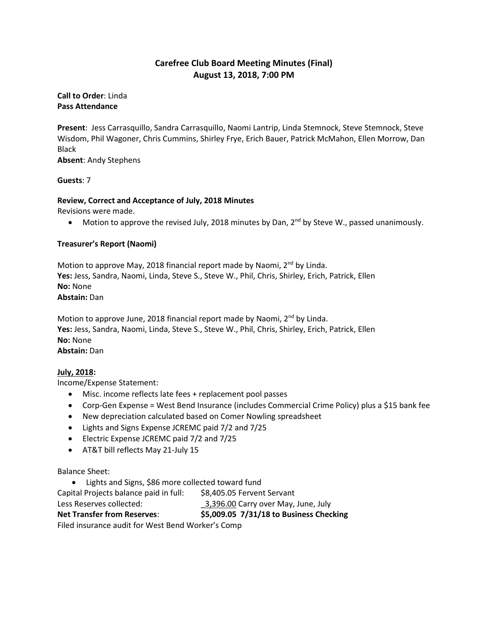# **Carefree Club Board Meeting Minutes (Final) August 13, 2018, 7:00 PM**

## **Call to Order**: Linda **Pass Attendance**

**Present**: Jess Carrasquillo, Sandra Carrasquillo, Naomi Lantrip, Linda Stemnock, Steve Stemnock, Steve Wisdom, Phil Wagoner, Chris Cummins, Shirley Frye, Erich Bauer, Patrick McMahon, Ellen Morrow, Dan Black

**Absent**: Andy Stephens

# **Guests**: 7

# **Review, Correct and Acceptance of July, 2018 Minutes**

Revisions were made.

• Motion to approve the revised July, 2018 minutes by Dan,  $2^{nd}$  by Steve W., passed unanimously.

# **Treasurer's Report (Naomi)**

Motion to approve May, 2018 financial report made by Naomi, 2<sup>nd</sup> by Linda. **Yes:** Jess, Sandra, Naomi, Linda, Steve S., Steve W., Phil, Chris, Shirley, Erich, Patrick, Ellen **No:** None **Abstain:** Dan

Motion to approve June, 2018 financial report made by Naomi, 2<sup>nd</sup> by Linda. **Yes:** Jess, Sandra, Naomi, Linda, Steve S., Steve W., Phil, Chris, Shirley, Erich, Patrick, Ellen **No:** None **Abstain:** Dan

#### **July, 2018:**

Income/Expense Statement:

- Misc. income reflects late fees + replacement pool passes
- Corp-Gen Expense = West Bend Insurance (includes Commercial Crime Policy) plus a \$15 bank fee
- New depreciation calculated based on Comer Nowling spreadsheet
- Lights and Signs Expense JCREMC paid 7/2 and 7/25
- Electric Expense JCREMC paid 7/2 and 7/25
- AT&T bill reflects May 21-July 15

#### Balance Sheet:

• Lights and Signs, \$86 more collected toward fund Capital Projects balance paid in full: \$8,405.05 Fervent Servant Less Reserves collected: <br> 3,396.00 Carry over May, June, July **Net Transfer from Reserves**: **\$5,009.05 7/31/18 to Business Checking** Filed insurance audit for West Bend Worker's Comp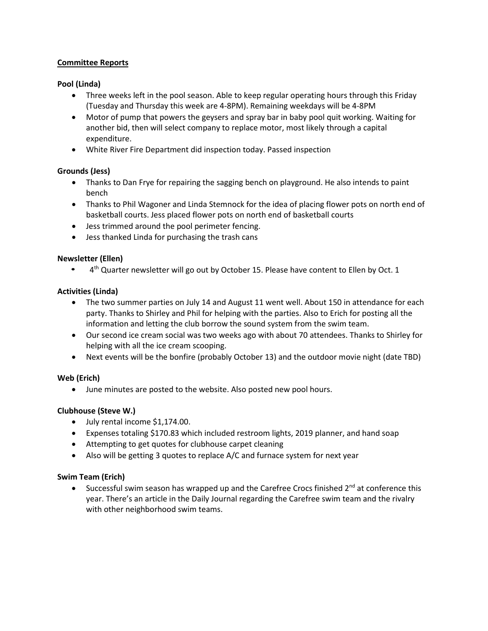# **Committee Reports**

# **Pool (Linda)**

- Three weeks left in the pool season. Able to keep regular operating hours through this Friday (Tuesday and Thursday this week are 4-8PM). Remaining weekdays will be 4-8PM
- Motor of pump that powers the geysers and spray bar in baby pool quit working. Waiting for another bid, then will select company to replace motor, most likely through a capital expenditure.
- White River Fire Department did inspection today. Passed inspection

# **Grounds (Jess)**

- Thanks to Dan Frye for repairing the sagging bench on playground. He also intends to paint bench
- Thanks to Phil Wagoner and Linda Stemnock for the idea of placing flower pots on north end of basketball courts. Jess placed flower pots on north end of basketball courts
- Jess trimmed around the pool perimeter fencing.
- Jess thanked Linda for purchasing the trash cans

# **Newsletter (Ellen)**

4<sup>th</sup> Quarter newsletter will go out by October 15. Please have content to Ellen by Oct. 1

# **Activities (Linda)**

- The two summer parties on July 14 and August 11 went well. About 150 in attendance for each party. Thanks to Shirley and Phil for helping with the parties. Also to Erich for posting all the information and letting the club borrow the sound system from the swim team.
- Our second ice cream social was two weeks ago with about 70 attendees. Thanks to Shirley for helping with all the ice cream scooping.
- Next events will be the bonfire (probably October 13) and the outdoor movie night (date TBD)

#### **Web (Erich)**

• June minutes are posted to the website. Also posted new pool hours.

# **Clubhouse (Steve W.)**

- July rental income \$1,174.00.
- Expenses totaling \$170.83 which included restroom lights, 2019 planner, and hand soap
- Attempting to get quotes for clubhouse carpet cleaning
- Also will be getting 3 quotes to replace A/C and furnace system for next year

#### **Swim Team (Erich)**

• Successful swim season has wrapped up and the Carefree Crocs finished  $2^{nd}$  at conference this year. There's an article in the Daily Journal regarding the Carefree swim team and the rivalry with other neighborhood swim teams.